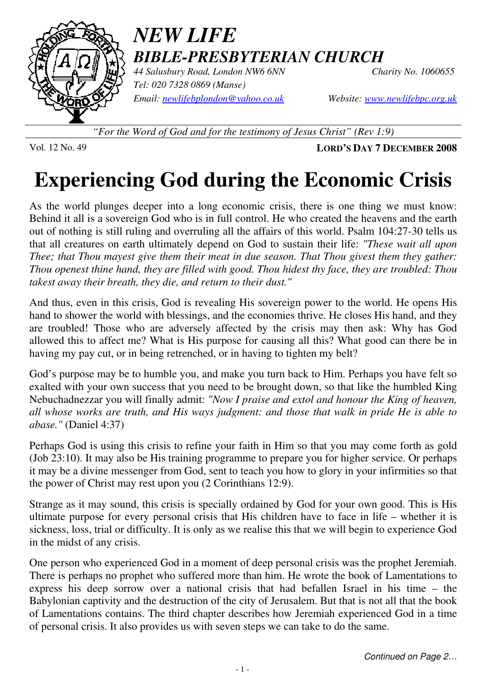

# *NEW LIFE BIBLE-PRESBYTERIAN CHURCH*

44 Salusbury Road, London NW6 6NN *Tel: 020 7328 0869 (Manse) Email: newlifebplondon@yahoo.co.uk Website: www.newlifebpc.org.uk*

*"For the Word of God and for the testimony of Jesus Christ" (Rev 1:9)*

Vol. 12 No. 49 **LORD'S DAY 7 DECEMBER 2008**

# **Experiencing God during the Economic Crisis**

As the world plunges deeper into a long economic crisis, there is one thing we must know: Behind it all is a sovereign God who is in full control. He who created the heavens and the earth out of nothing is still ruling and overruling all the affairs of this world. Psalm 104:27-30 tells us that all creatures on earth ultimately depend on God to sustain their life: *"These wait all upon Thee; that Thou mayest give them their meat in due season. That Thou givest them they gather: Thou openest thine hand, they are filled with good. Thou hidest thy face, they are troubled: Thou takest away their breath, they die, and return to their dust."*

And thus, even in this crisis, God is revealing His sovereign power to the world. He opens His hand to shower the world with blessings, and the economies thrive. He closes His hand, and they are troubled! Those who are adversely affected by the crisis may then ask: Why has God allowed this to affect me? What is His purpose for causing all this? What good can there be in having my pay cut, or in being retrenched, or in having to tighten my belt?

God's purpose may be to humble you, and make you turn back to Him. Perhaps you have felt so exalted with your own success that you need to be brought down, so that like the humbled King Nebuchadnezzar you will finally admit: *"Now I praise and extol and honour the King of heaven, all whose works are truth, and His ways judgment: and those that walk in pride He is able to abase."* (Daniel 4:37)

Perhaps God is using this crisis to refine your faith in Him so that you may come forth as gold (Job 23:10). It may also be His training programme to prepare you for higher service. Or perhaps it may be a divine messenger from God, sent to teach you how to glory in your infirmities so that the power of Christ may rest upon you (2 Corinthians 12:9).

Strange as it may sound, this crisis is specially ordained by God for your own good. This is His ultimate purpose for every personal crisis that His children have to face in life – whether it is sickness, loss, trial or difficulty. It is only as we realise this that we will begin to experience God in the midst of any crisis.

One person who experienced God in a moment of deep personal crisis was the prophet Jeremiah. There is perhaps no prophet who suffered more than him. He wrote the book of Lamentations to express his deep sorrow over a national crisis that had befallen Israel in his time – the Babylonian captivity and the destruction of the city of Jerusalem. But that is not all that the book of Lamentations contains. The third chapter describes how Jeremiah experienced God in a time of personal crisis. It also provides us with seven steps we can take to do the same.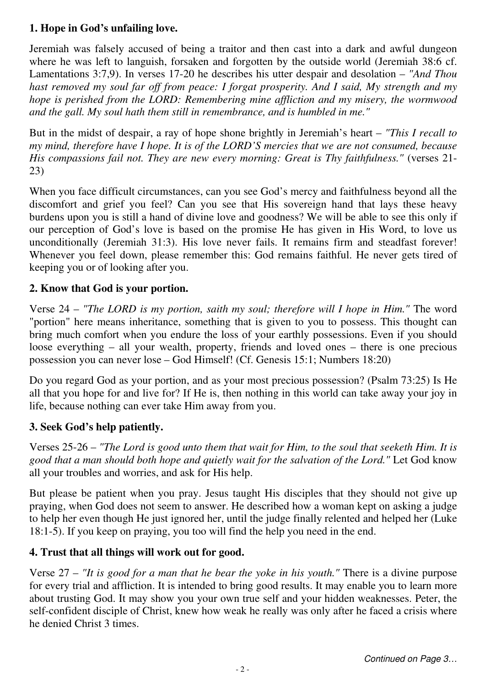# **1. Hope in God's unfailing love.**

Jeremiah was falsely accused of being a traitor and then cast into a dark and awful dungeon where he was left to languish, forsaken and forgotten by the outside world (Jeremiah 38:6 cf. Lamentations 3:7,9). In verses 17-20 he describes his utter despair and desolation – *"And Thou hast removed my soul far off from peace: I forgat prosperity. And I said, My strength and my hope is perished from the LORD: Remembering mine affliction and my misery, the wormwood and the gall. My soul hath them still in remembrance, and is humbled in me."* 

But in the midst of despair, a ray of hope shone brightly in Jeremiah's heart – *"This I recall to my mind, therefore have I hope. It is of the LORD'S mercies that we are not consumed, because His compassions fail not. They are new every morning: Great is Thy faithfulness."* (verses 21- 23)

When you face difficult circumstances, can you see God's mercy and faithfulness beyond all the discomfort and grief you feel? Can you see that His sovereign hand that lays these heavy burdens upon you is still a hand of divine love and goodness? We will be able to see this only if our perception of God's love is based on the promise He has given in His Word, to love us unconditionally (Jeremiah 31:3). His love never fails. It remains firm and steadfast forever! Whenever you feel down, please remember this: God remains faithful. He never gets tired of keeping you or of looking after you.

### **2. Know that God is your portion.**

Verse 24 – *"The LORD is my portion, saith my soul; therefore will I hope in Him."* The word "portion" here means inheritance, something that is given to you to possess. This thought can bring much comfort when you endure the loss of your earthly possessions. Even if you should loose everything – all your wealth, property, friends and loved ones – there is one precious possession you can never lose – God Himself! (Cf. Genesis 15:1; Numbers 18:20)

Do you regard God as your portion, and as your most precious possession? (Psalm 73:25) Is He all that you hope for and live for? If He is, then nothing in this world can take away your joy in life, because nothing can ever take Him away from you.

## **3. Seek God's help patiently.**

Verses 25-26 – *"The Lord is good unto them that wait for Him, to the soul that seeketh Him. It is good that a man should both hope and quietly wait for the salvation of the Lord."* Let God know all your troubles and worries, and ask for His help.

But please be patient when you pray. Jesus taught His disciples that they should not give up praying, when God does not seem to answer. He described how a woman kept on asking a judge to help her even though He just ignored her, until the judge finally relented and helped her (Luke 18:1-5). If you keep on praying, you too will find the help you need in the end.

#### **4. Trust that all things will work out for good.**

Verse 27 – *"It is good for a man that he bear the yoke in his youth."* There is a divine purpose for every trial and affliction. It is intended to bring good results. It may enable you to learn more about trusting God. It may show you your own true self and your hidden weaknesses. Peter, the self-confident disciple of Christ, knew how weak he really was only after he faced a crisis where he denied Christ 3 times.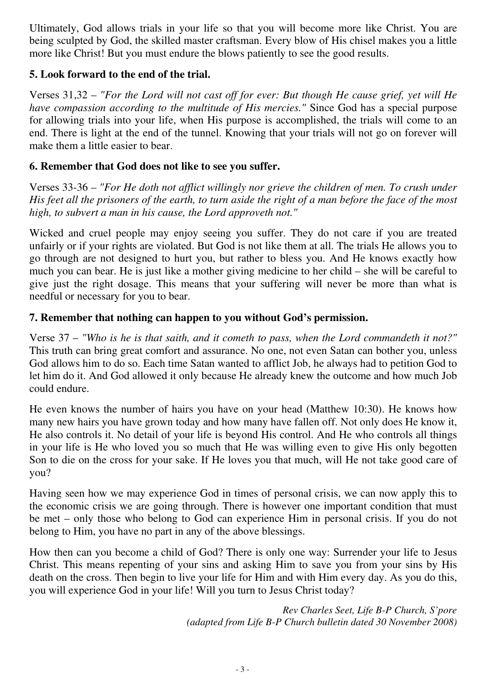Ultimately, God allows trials in your life so that you will become more like Christ. You are being sculpted by God, the skilled master craftsman. Every blow of His chisel makes you a little more like Christ! But you must endure the blows patiently to see the good results.

### **5. Look forward to the end of the trial.**

Verses 31,32 – *"For the Lord will not cast off for ever: But though He cause grief, yet will He have compassion according to the multitude of His mercies."* Since God has a special purpose for allowing trials into your life, when His purpose is accomplished, the trials will come to an end. There is light at the end of the tunnel. Knowing that your trials will not go on forever will make them a little easier to bear.

#### **6. Remember that God does not like to see you suffer.**

Verses 33-36 – *"For He doth not afflict willingly nor grieve the children of men. To crush under His feet all the prisoners of the earth, to turn aside the right of a man before the face of the most high, to subvert a man in his cause, the Lord approveth not."*

Wicked and cruel people may enjoy seeing you suffer. They do not care if you are treated unfairly or if your rights are violated. But God is not like them at all. The trials He allows you to go through are not designed to hurt you, but rather to bless you. And He knows exactly how much you can bear. He is just like a mother giving medicine to her child – she will be careful to give just the right dosage. This means that your suffering will never be more than what is needful or necessary for you to bear.

#### **7. Remember that nothing can happen to you without God's permission.**

Verse 37 – *"Who is he is that saith, and it cometh to pass, when the Lord commandeth it not?"* This truth can bring great comfort and assurance. No one, not even Satan can bother you, unless God allows him to do so. Each time Satan wanted to afflict Job, he always had to petition God to let him do it. And God allowed it only because He already knew the outcome and how much Job could endure.

He even knows the number of hairs you have on your head (Matthew 10:30). He knows how many new hairs you have grown today and how many have fallen off. Not only does He know it, He also controls it. No detail of your life is beyond His control. And He who controls all things in your life is He who loved you so much that He was willing even to give His only begotten Son to die on the cross for your sake. If He loves you that much, will He not take good care of you?

Having seen how we may experience God in times of personal crisis, we can now apply this to the economic crisis we are going through. There is however one important condition that must be met – only those who belong to God can experience Him in personal crisis. If you do not belong to Him, you have no part in any of the above blessings.

How then can you become a child of God? There is only one way: Surrender your life to Jesus Christ. This means repenting of your sins and asking Him to save you from your sins by His death on the cross. Then begin to live your life for Him and with Him every day. As you do this, you will experience God in your life! Will you turn to Jesus Christ today?

> *Rev Charles Seet, Life B-P Church, S'pore (adapted from Life B-P Church bulletin dated 30 November 2008)*